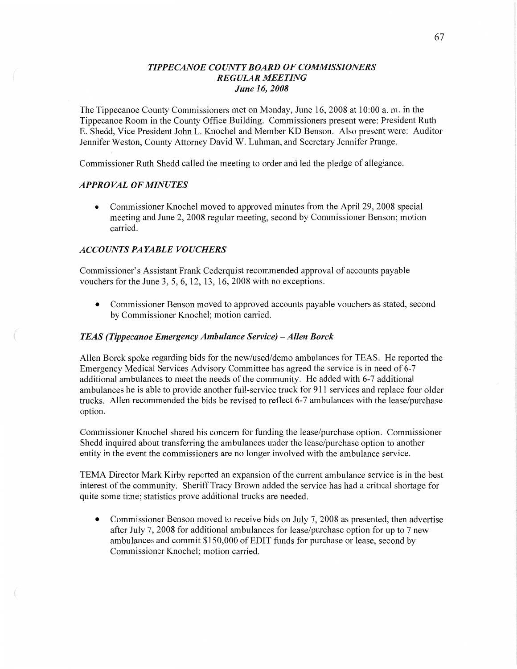## *TIPPECANOE COUNTY BOARD* OF *COMMISSIONERS REGULAR MEETING June* 16, *2008*

The Tippecanoe County Commissioners met on Monday, June 16, 2008 at 10:00 a. m. in the Tippecanoe Room in the County Office Building. Commissioners present were: President Ruth B. Shedd, Vice President John L. Knochel and Member KD Benson. Also present were: Auditor Jennifer Weston, County Attorney David W. Luhman, and Secretary Jennifer Prange.

Commissioner Ruth Shedd called the meeting to order and led the pledge of allegiance.

## *APPROVAL* OF *MINUTES*

• Commissioner Knochel moved to approved minutes from the April 29, 2008 special meeting and June 2, 2008 regular meeting, second by Commissioner Benson; motion carried.

# *ACCOUNTS* PA *YABLE VOUCHERS*

Commissioner's Assistant Frank Cederquist recommended approval of accounts payable vouchers for the June 3, 5, 6, 12, 13, 16, 2008 with no exceptions.

**0** Commissioner Benson moved to approved accounts payable vouchers as stated, second by Commissioner Knochel; motion carried.

### *TEAS (Tippecanoe Emergency Ambulance Service)* **—** *Allen Borck*

Allen Borck spoke regarding bids for the new/used/demo ambulances for TEAS. He reported the Emergency Medical Services Advisory Committee has agreed the service is in need of 6—7 additional ambulances to meet the needs of the community. He added with 6-7 additional ambulances he is able to provide another full-service truck for 911 services and replace four older trucks. Allen recommended the bids be revised to reflect 6-7 ambulances with the lease/purchase option.

Commissioner Knochel shared his concern for funding the lease/purchase option. Commissioner Shedd inquired about transferring the ambulances under the lease/purchase option to another entity in the event the commissioners are no longer involved with the ambulance service.

TEMA Director **Mark** Kirby reported an expansion of the current ambulance service is in the best interest of the community. Sheriff Tracy Brown added the service has had a critical shortage for quite some time; statistics prove additional trucks are needed.

• Commissioner Benson moved to receive bids on July 7, 2008 as presented, then advertise after July 7, 2008 for additional ambulances for lease/purchase option for up to 7 new ambulances and commit \$150,000 of EDIT funds for purchase or lease, second by Commissioner Knochel; motion carried.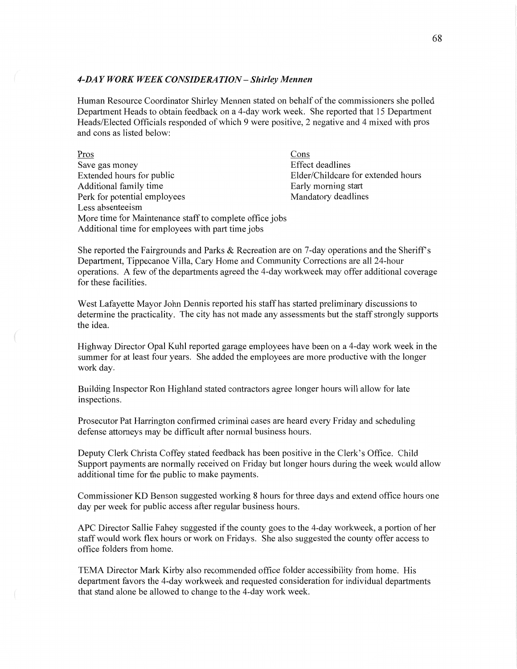#### *4-DA Y WORK WEEK C ONSIDERA T I* 0N **—** *Shirley Mennen*

**Human** Resource Coordinator Shirley Mennen stated on behalf of the commissioners she polled Department Heads to obtain feedback on a 4-day work week. She reported that 15 Department Heads/Elected Officials responded of which 9 were positive, **2** negative and 4 mixed with pros and cons as listed below:

| Pros                                                    | Cons                               |
|---------------------------------------------------------|------------------------------------|
| Save gas money                                          | <b>Effect deadlines</b>            |
| Extended hours for public                               | Elder/Childcare for extended hours |
| Additional family time                                  | Early morning start                |
| Perk for potential employees                            | Mandatory deadlines                |
| Less absenteeism                                        |                                    |
| More time for Maintenance staff to complete office jobs |                                    |
| Additional time for employees with part time jobs       |                                    |

She reported the Fairgrounds and Parks & Recreation are on 7-day operations and the Sheriff's Department, Tippecanoe Villa, Cary Home and Community Corrections are all 24-hour operations. A few of the departments agreed the 4—day workweek may offer additional coverage for these facilities.

West Lafayette Mayor John Dennis reported his staff has started preliminary discussions to determine the practicality. The city has not made any assessments but the staff strongly supports the idea.

Highway Director Opal Kuhl reported garage employees have been on a 4-day work week in the summer for at least four years. She added the employees are more productive with the longer work day.

Building Inspector Ron Highland stated contractors agree longer hours will allow for late inspections.

Prosecutor Pat Harrington confirmed criminal cases are heard every Friday and scheduling defense attorneys may be difficult **after** normal business hours.

Deputy Clerk Christa Coffey stated feedback has been positive in the Clerk's **Office.** Child Support payments are normally received on Friday but longer hours during the week would allow additional time for the public to make payments.

Commissioner KD Benson suggested working 8 hours for three days and extend office hours one day per week for public access after regular business hours.

APC Director Sallie Fahey suggested if the county goes to the 4-day workweek, **<sup>a</sup>**portion of her staff would work flex hours or work on Fridays. She also suggested the county offer access to office folders from home.

TEMA Director Mark Kirby also recommended office folder accessibility from home. His department favors the 4-day workweek and requested consideration for individual departments that stand alone be allowed to change to the 4-day work week.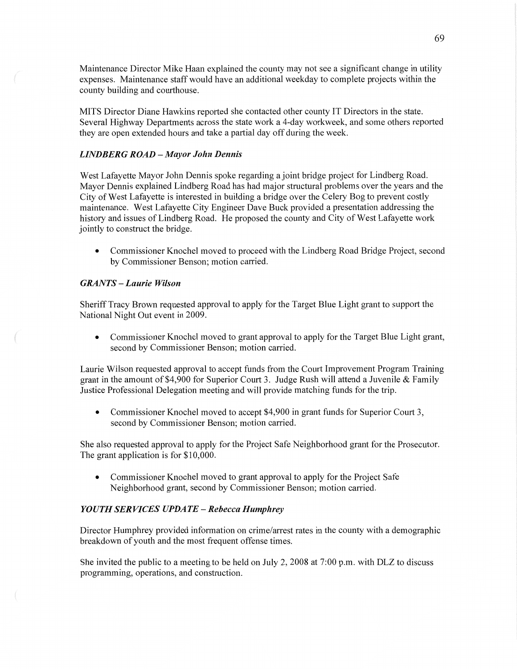Maintenance Director Mike Haan explained the county may not see a significant change in utility expenses. Maintenance staff would have an additional weekday to complete projects within the county building and courthouse. '

**MITS** Director Diane Hawkins reported she contacted other county IT Directors in the **state.**  Several Highway Departments across the state work a 4-day workweek, and some **others** reported they are open extended hours and take a partial day off during the week.

### *LINDBERG ROAD — Mayor John Dennis*

West Lafayette Mayor John Dennis spoke regarding a joint bridge project for Lindberg Road. Mayor Dennis explained Lindberg Road has had major structural problems over the years and the City of West Lafayette is interested in building a bridge over the Celery Bog to prevent costly maintenance. West Lafayette City Engineer Dave Buck provided a presentation addressing the history and issues of Lindberg Road. He proposed the county and City of West Lafayette work jointly to construct the bridge.

**0** Commissioner Knochel moved to proceed with the Lindberg Road Bridge Project, second by Commissioner Benson; motion carried.

#### *GRANTS* — *Laurie Wilson*

Sheriff Tracy Brown requested approval to apply for the Target Blue Light grant to support the National Night Out event in 2009.

**0** Commissioner Knochel moved to grant approval to apply for the Target Blue Light grant, second by Commissioner Benson; motion carried.

Laurie Wilson requested approval to accept funds from the Court Improvement Program Training grant in the amount of \$4,900 for Superior Court 3. Judge Rush will attend a Juvenile & Family Justice Professional Delegation meeting and will provide matching **funds** for the trip.

**0** Commissioner Knochel moved to accept \$4,900 in grant funds for Superior Court 3, second by Commissioner Benson; motion carried.

She also requested approval to apply for the Project Safe Neighborhood grant for the Prosecutor. The grant application is for \$10,000.

*0* Commissioner Knochel moved to grant approval to apply for the Project Safe Neighborhood grant, second by Commissioner Benson; motion carried.

#### YOU TH SER VI CES *UPDATE* **—** *Rebecca Humphrey*

Director Humphrey provided information on crime/arrest rates in the county with a demographic breakdown of youth and the most frequent offense times.

She invited the public to a meeting to be held on July 2, 2008 at **7:00** pm. with DLZ to discuss programming, operations, and construction.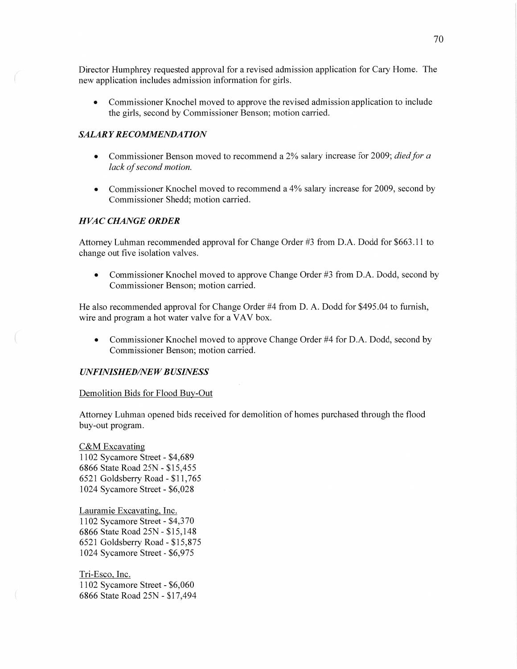Director Humphrey requested approval for a revised admission application for Cary Home. The new application includes admission information for girls.

**0** Commissioner Knochel moved to approve the revised admission application to include the girls, second by Commissioner Benson; motion carried.

#### *SALARY RECOMMENDATION*

- **0** Commissioner Benson moved to recommend a 2% salary increase for 2009; *died* for *a lack* of *second motion.*
- Commissioner Knochel moved to recommend a 4% salary increase for 2009, second by Commissioner Shedd; motion carried.

#### *H* VAC *CHANGE ORDER*

Attorney Luhman recommended approval for Change Order #3 from **D.A.** Dodd for \$663.11 to change out five isolation valves.

**0** Commissioner Knochel moved to approve Change Order #3 from D.A. Dodd, second by Commissioner Benson; motion carried.

He also recommended approval for Change Order #4 from D. A. Dodd for \$495.04 to furnish, wire and program a hot water valve for **a** VAV box.

**0** Commissioner Knochel moved to approve Change Order #4 for **DA.** Dodd, second by Commissioner Benson; motion carried.

#### *UNFINISHEDflVE W B USINESS*

#### Demolition Bids for Flood Buy-Out

Attorney Luhman opened bids received for demolition of homes purchased through the flood buy-out program.

C&M Excavating 1102 Sycamore Street *-* \$4,689 6866 State Road 25N *-* \$15,455 6521 Goldsberry Road **-** \$11,765 1024 Sycamore Street **-** \$6,028

Lauramie Excavating, Inc. 1102 Sycamore Street **-** \$4,370 6866 State Road 25N *-* \$15,148 6521 Goldsberry Road *-* \$15,875 1024 Sycamore Street *-* \$6,975

Tri-Esco, Inc. 1102 Sycamore Street **-** \$6,060 6866 State Road 25N *-* \$17,494